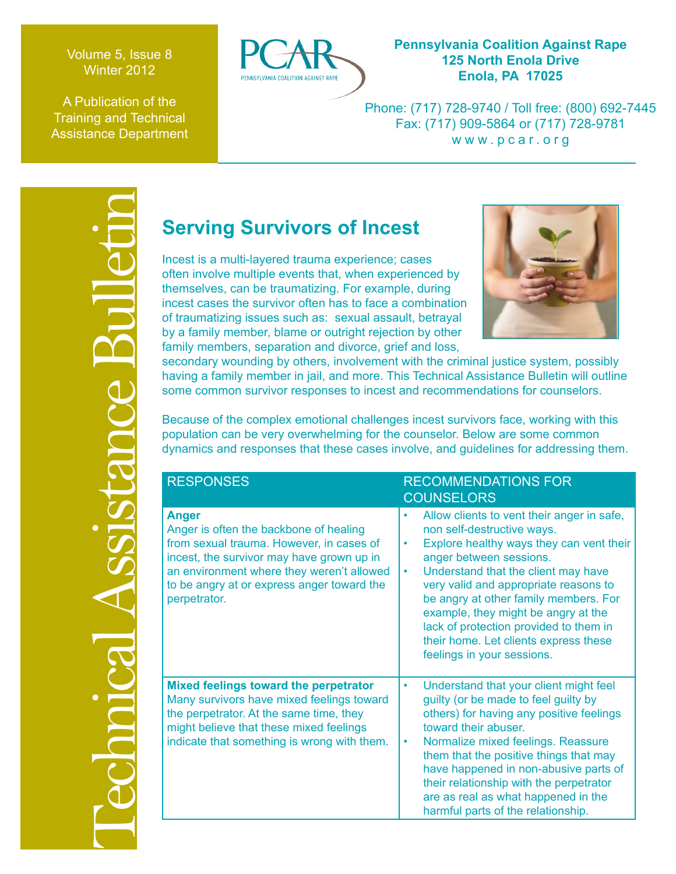Volume 5, Issue 8 Winter 2012

A Publication of the Training and Technical Assistance Department



# **Pennsylvania Coalition Against Rape 125 North Enola Drive Enola, PA 17025**

Phone: (717) 728-9740 / Toll free: (800) 692-7445 Fax: (717) 909-5864 or (717) 728-9781 www.pcar.org



| Incest is a multi-layered trauma experience; cases<br>often involve multiple events that, when experienced by<br>themselves, can be traumatizing. For example, during<br>incest cases the survivor often has to face a combination<br>of traumatizing issues such as: sexual assault, betrayal<br>by a family member, blame or outright rejection by other<br>family members, separation and divorce, grief and loss,<br>secondary wounding by others, involvement with the criminal justice system, possibly<br>having a family member in jail, and more. This Technical Assistance Bulletin will outline<br>some common survivor responses to incest and recommendations for counselors. |                                                                                                                                                                                                                                                                                                                                                                                                                                       |
|--------------------------------------------------------------------------------------------------------------------------------------------------------------------------------------------------------------------------------------------------------------------------------------------------------------------------------------------------------------------------------------------------------------------------------------------------------------------------------------------------------------------------------------------------------------------------------------------------------------------------------------------------------------------------------------------|---------------------------------------------------------------------------------------------------------------------------------------------------------------------------------------------------------------------------------------------------------------------------------------------------------------------------------------------------------------------------------------------------------------------------------------|
| Because of the complex emotional challenges incest survivors face, working with this<br>population can be very overwhelming for the counselor. Below are some common<br>dynamics and responses that these cases involve, and guidelines for addressing them.                                                                                                                                                                                                                                                                                                                                                                                                                               |                                                                                                                                                                                                                                                                                                                                                                                                                                       |
| <b>RESPONSES</b>                                                                                                                                                                                                                                                                                                                                                                                                                                                                                                                                                                                                                                                                           | <b>RECOMMENDATIONS FOR</b><br><b>COUNSELORS</b>                                                                                                                                                                                                                                                                                                                                                                                       |
| <b>Anger</b><br>Anger is often the backbone of healing<br>from sexual trauma. However, in cases of<br>incest, the survivor may have grown up in<br>an environment where they weren't allowed<br>to be angry at or express anger toward the<br>perpetrator.                                                                                                                                                                                                                                                                                                                                                                                                                                 | Allow clients to vent their anger in safe,<br>non self-destructive ways.<br>Explore healthy ways they can vent their<br>anger between sessions.<br>Understand that the client may have<br>٠<br>very valid and appropriate reasons to<br>be angry at other family members. For<br>example, they might be angry at the<br>lack of protection provided to them in<br>their home. Let clients express these<br>feelings in your sessions. |
| Mixed feelings toward the perpetrator<br>Many survivors have mixed feelings toward<br>the perpetrator. At the same time, they<br>might believe that these mixed feelings<br>indicate that something is wrong with them.                                                                                                                                                                                                                                                                                                                                                                                                                                                                    | Understand that your client might feel<br>guilty (or be made to feel guilty by<br>others) for having any positive feelings<br>toward their abuser.<br>Normalize mixed feelings. Reassure<br>٠<br>them that the positive things that may<br>have happened in non-abusive parts of<br>their relationship with the perpetrator<br>are as real as what happened in the<br>harmful parts of the relationship.                              |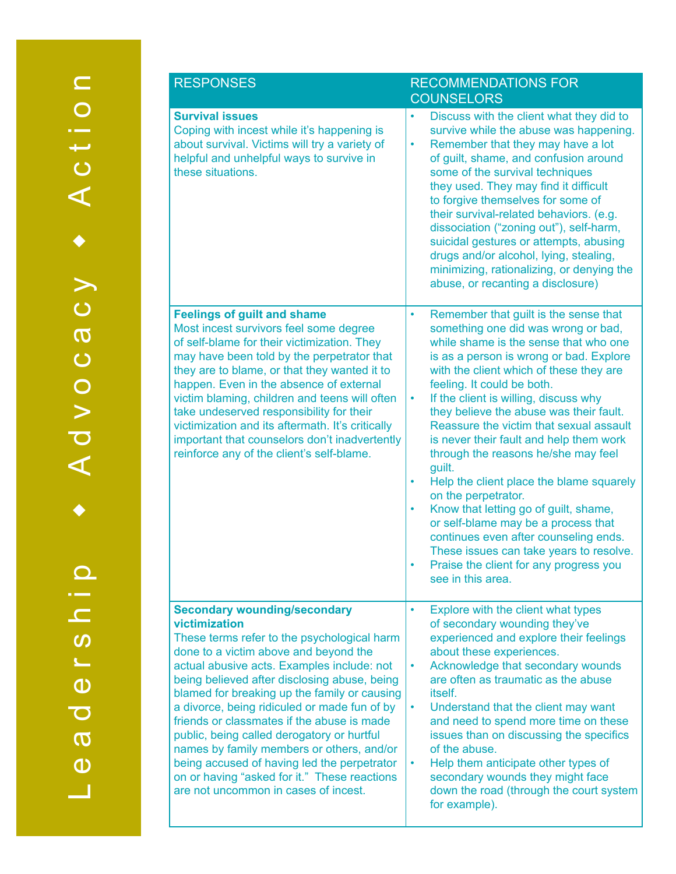| <b>RESPONSES</b>                                                                                                                                                                                                                                                                                                                                                                                                                                                                                                                                                                                                           | <b>RECOMMENDATIONS FOR</b><br><b>COUNSELORS</b>                                                                                                                                                                                                                                                                                                                                                                                                                                                                                                                                                                                                                                                                                                                                                                        |
|----------------------------------------------------------------------------------------------------------------------------------------------------------------------------------------------------------------------------------------------------------------------------------------------------------------------------------------------------------------------------------------------------------------------------------------------------------------------------------------------------------------------------------------------------------------------------------------------------------------------------|------------------------------------------------------------------------------------------------------------------------------------------------------------------------------------------------------------------------------------------------------------------------------------------------------------------------------------------------------------------------------------------------------------------------------------------------------------------------------------------------------------------------------------------------------------------------------------------------------------------------------------------------------------------------------------------------------------------------------------------------------------------------------------------------------------------------|
| <b>Survival issues</b><br>Coping with incest while it's happening is<br>about survival. Victims will try a variety of<br>helpful and unhelpful ways to survive in<br>these situations.                                                                                                                                                                                                                                                                                                                                                                                                                                     | Discuss with the client what they did to<br>$\bullet$<br>survive while the abuse was happening.<br>Remember that they may have a lot<br>٠<br>of guilt, shame, and confusion around<br>some of the survival techniques<br>they used. They may find it difficult<br>to forgive themselves for some of<br>their survival-related behaviors. (e.g.<br>dissociation ("zoning out"), self-harm,<br>suicidal gestures or attempts, abusing<br>drugs and/or alcohol, lying, stealing,<br>minimizing, rationalizing, or denying the<br>abuse, or recanting a disclosure)                                                                                                                                                                                                                                                        |
| <b>Feelings of guilt and shame</b><br>Most incest survivors feel some degree<br>of self-blame for their victimization. They<br>may have been told by the perpetrator that<br>they are to blame, or that they wanted it to<br>happen. Even in the absence of external<br>victim blaming, children and teens will often<br>take undeserved responsibility for their<br>victimization and its aftermath. It's critically<br>important that counselors don't inadvertently<br>reinforce any of the client's self-blame.                                                                                                        | Remember that guilt is the sense that<br>$\bullet$<br>something one did was wrong or bad,<br>while shame is the sense that who one<br>is as a person is wrong or bad. Explore<br>with the client which of these they are<br>feeling. It could be both.<br>If the client is willing, discuss why<br>$\bullet$<br>they believe the abuse was their fault.<br>Reassure the victim that sexual assault<br>is never their fault and help them work<br>through the reasons he/she may feel<br>guilt.<br>Help the client place the blame squarely<br>$\bullet$<br>on the perpetrator.<br>Know that letting go of guilt, shame,<br>٠<br>or self-blame may be a process that<br>continues even after counseling ends.<br>These issues can take years to resolve.<br>Praise the client for any progress you<br>see in this area. |
| <b>Secondary wounding/secondary</b><br>victimization<br>These terms refer to the psychological harm<br>done to a victim above and beyond the<br>actual abusive acts. Examples include: not<br>being believed after disclosing abuse, being<br>blamed for breaking up the family or causing<br>a divorce, being ridiculed or made fun of by<br>friends or classmates if the abuse is made<br>public, being called derogatory or hurtful<br>names by family members or others, and/or<br>being accused of having led the perpetrator<br>on or having "asked for it." These reactions<br>are not uncommon in cases of incest. | Explore with the client what types<br>$\bullet$<br>of secondary wounding they've<br>experienced and explore their feelings<br>about these experiences.<br>Acknowledge that secondary wounds<br>٠<br>are often as traumatic as the abuse<br><i>itself.</i><br>Understand that the client may want<br>and need to spend more time on these<br>issues than on discussing the specifics<br>of the abuse.<br>Help them anticipate other types of<br>٠<br>secondary wounds they might face<br>down the road (through the court system<br>for example).                                                                                                                                                                                                                                                                       |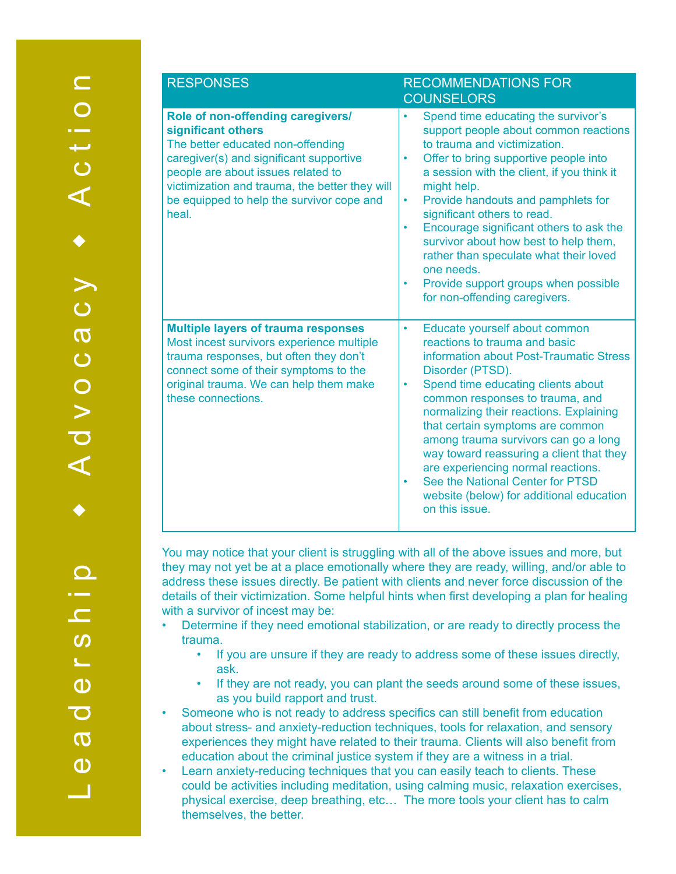| <b>RESPONSES</b>                                                                                                                                                                                                                                                                      | <b>RECOMMENDATIONS FOR</b><br><b>COUNSELORS</b>                                                                                                                                                                                                                                                                                                                                                                                                                                                                                                          |
|---------------------------------------------------------------------------------------------------------------------------------------------------------------------------------------------------------------------------------------------------------------------------------------|----------------------------------------------------------------------------------------------------------------------------------------------------------------------------------------------------------------------------------------------------------------------------------------------------------------------------------------------------------------------------------------------------------------------------------------------------------------------------------------------------------------------------------------------------------|
| Role of non-offending caregivers/<br>significant others<br>The better educated non-offending<br>caregiver(s) and significant supportive<br>people are about issues related to<br>victimization and trauma, the better they will<br>be equipped to help the survivor cope and<br>heal. | Spend time educating the survivor's<br>support people about common reactions<br>to trauma and victimization.<br>Offer to bring supportive people into<br>٠<br>a session with the client, if you think it<br>might help.<br>Provide handouts and pamphlets for<br>$\bullet$<br>significant others to read.<br>Encourage significant others to ask the<br>$\bullet$<br>survivor about how best to help them,<br>rather than speculate what their loved<br>one needs.<br>Provide support groups when possible<br>$\bullet$<br>for non-offending caregivers. |
| <b>Multiple layers of trauma responses</b><br>Most incest survivors experience multiple<br>trauma responses, but often they don't<br>connect some of their symptoms to the<br>original trauma. We can help them make<br>these connections.                                            | Educate yourself about common<br>٠<br>reactions to trauma and basic<br>information about Post-Traumatic Stress<br>Disorder (PTSD).<br>Spend time educating clients about<br>٠<br>common responses to trauma, and<br>normalizing their reactions. Explaining<br>that certain symptoms are common<br>among trauma survivors can go a long<br>way toward reassuring a client that they<br>are experiencing normal reactions.<br>See the National Center for PTSD<br>۰<br>website (below) for additional education<br>on this issue.                         |

You may notice that your client is struggling with all of the above issues and more, but they may not yet be at a place emotionally where they are ready, willing, and/or able to address these issues directly. Be patient with clients and never force discussion of the details of their victimization. Some helpful hints when first developing a plan for healing with a survivor of incest may be:

- Determine if they need emotional stabilization, or are ready to directly process the trauma.
	- If you are unsure if they are ready to address some of these issues directly, ask.
	- If they are not ready, you can plant the seeds around some of these issues, as you build rapport and trust.
- Someone who is not ready to address specifics can still benefit from education about stress- and anxiety-reduction techniques, tools for relaxation, and sensory experiences they might have related to their trauma. Clients will also benefit from education about the criminal justice system if they are a witness in a trial.
- Learn anxiety-reducing techniques that you can easily teach to clients. These could be activities including meditation, using calming music, relaxation exercises, physical exercise, deep breathing, etc… The more tools your client has to calm themselves, the better.